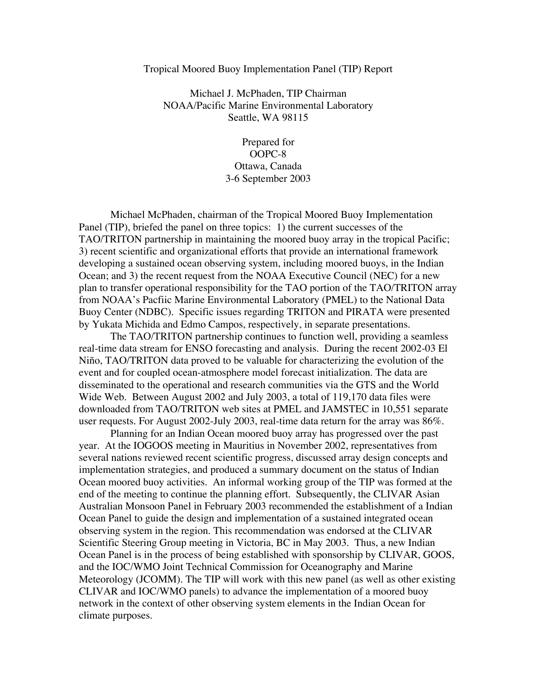## Tropical Moored Buoy Implementation Panel (TIP) Report

Michael J. McPhaden, TIP Chairman NOAA/Pacific Marine Environmental Laboratory Seattle, WA 98115

> Prepared for OOPC-8 Ottawa, Canada 3-6 September 2003

Michael McPhaden, chairman of the Tropical Moored Buoy Implementation Panel (TIP), briefed the panel on three topics: 1) the current successes of the TAO/TRITON partnership in maintaining the moored buoy array in the tropical Pacific; 3) recent scientific and organizational efforts that provide an international framework developing a sustained ocean observing system, including moored buoys, in the Indian Ocean; and 3) the recent request from the NOAA Executive Council (NEC) for a new plan to transfer operational responsibility for the TAO portion of the TAO/TRITON array from NOAA's Pacfiic Marine Environmental Laboratory (PMEL) to the National Data Buoy Center (NDBC). Specific issues regarding TRITON and PIRATA were presented by Yukata Michida and Edmo Campos, respectively, in separate presentations.

The TAO/TRITON partnership continues to function well, providing a seamless real-time data stream for ENSO forecasting and analysis. During the recent 2002-03 El Niño, TAO/TRITON data proved to be valuable for characterizing the evolution of the event and for coupled ocean-atmosphere model forecast initialization. The data are disseminated to the operational and research communities via the GTS and the World Wide Web. Between August 2002 and July 2003, a total of 119,170 data files were downloaded from TAO/TRITON web sites at PMEL and JAMSTEC in 10,551 separate user requests. For August 2002-July 2003, real-time data return for the array was 86%.

Planning for an Indian Ocean moored buoy array has progressed over the past year. At the IOGOOS meeting in Mauritius in November 2002, representatives from several nations reviewed recent scientific progress, discussed array design concepts and implementation strategies, and produced a summary document on the status of Indian Ocean moored buoy activities. An informal working group of the TIP was formed at the end of the meeting to continue the planning effort. Subsequently, the CLIVAR Asian Australian Monsoon Panel in February 2003 recommended the establishment of a Indian Ocean Panel to guide the design and implementation of a sustained integrated ocean observing system in the region. This recommendation was endorsed at the CLIVAR Scientific Steering Group meeting in Victoria, BC in May 2003. Thus, a new Indian Ocean Panel is in the process of being established with sponsorship by CLIVAR, GOOS, and the IOC/WMO Joint Technical Commission for Oceanography and Marine Meteorology (JCOMM). The TIP will work with this new panel (as well as other existing CLIVAR and IOC/WMO panels) to advance the implementation of a moored buoy network in the context of other observing system elements in the Indian Ocean for climate purposes.